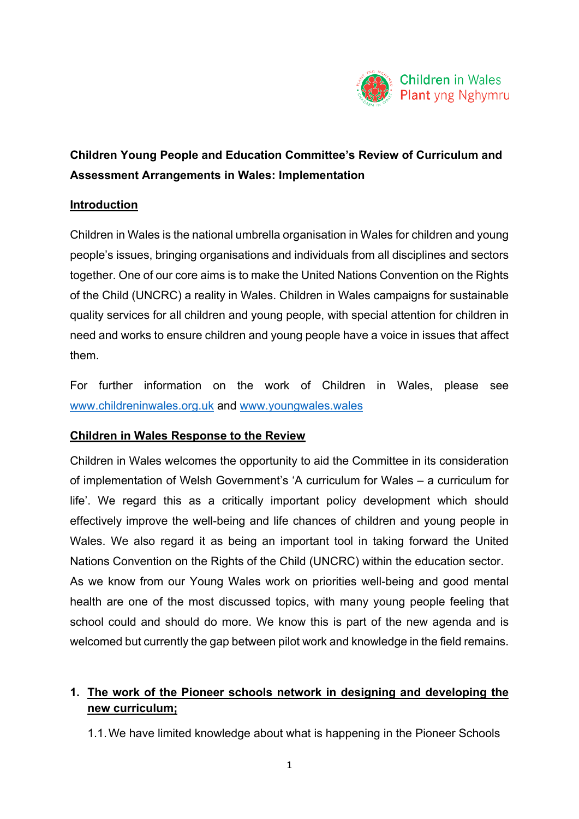

# **Children Young People and Education Committee's Review of Curriculum and Assessment Arrangements in Wales: Implementation**

#### **Introduction**

Children in Wales is the national umbrella organisation in Wales for children and young people's issues, bringing organisations and individuals from all disciplines and sectors together. One of our core aims is to make the United Nations Convention on the Rights of the Child (UNCRC) a reality in Wales. Children in Wales campaigns for sustainable quality services for all children and young people, with special attention for children in need and works to ensure children and young people have a voice in issues that affect them.

For further information on the work of Children in Wales, please see [www.childreninwales.org.uk](http://www.childreninwales.org.uk/) and [www.youngwales.wales](http://www.youngwales.wales/)

### **Children in Wales Response to the Review**

Children in Wales welcomes the opportunity to aid the Committee in its consideration of implementation of Welsh Government's 'A curriculum for Wales – a curriculum for life'. We regard this as a critically important policy development which should effectively improve the well-being and life chances of children and young people in Wales. We also regard it as being an important tool in taking forward the United Nations Convention on the Rights of the Child (UNCRC) within the education sector. As we know from our Young Wales work on priorities well-being and good mental health are one of the most discussed topics, with many young people feeling that school could and should do more. We know this is part of the new agenda and is welcomed but currently the gap between pilot work and knowledge in the field remains.

## **1. The work of the Pioneer schools network in designing and developing the new curriculum;**

1.1.We have limited knowledge about what is happening in the Pioneer Schools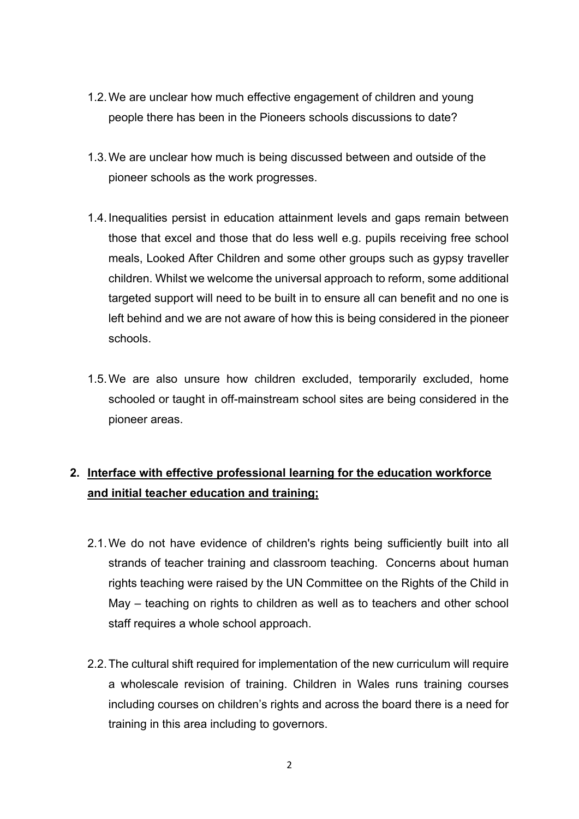- 1.2.We are unclear how much effective engagement of children and young people there has been in the Pioneers schools discussions to date?
- 1.3.We are unclear how much is being discussed between and outside of the pioneer schools as the work progresses.
- 1.4.Inequalities persist in education attainment levels and gaps remain between those that excel and those that do less well e.g. pupils receiving free school meals, Looked After Children and some other groups such as gypsy traveller children. Whilst we welcome the universal approach to reform, some additional targeted support will need to be built in to ensure all can benefit and no one is left behind and we are not aware of how this is being considered in the pioneer schools.
- 1.5.We are also unsure how children excluded, temporarily excluded, home schooled or taught in off-mainstream school sites are being considered in the pioneer areas.

# **2. Interface with effective professional learning for the education workforce and initial teacher education and training;**

- 2.1.We do not have evidence of children's rights being sufficiently built into all strands of teacher training and classroom teaching. Concerns about human rights teaching were raised by the UN Committee on the Rights of the Child in May – teaching on rights to children as well as to teachers and other school staff requires a whole school approach.
- 2.2.The cultural shift required for implementation of the new curriculum will require a wholescale revision of training. Children in Wales runs training courses including courses on children's rights and across the board there is a need for training in this area including to governors.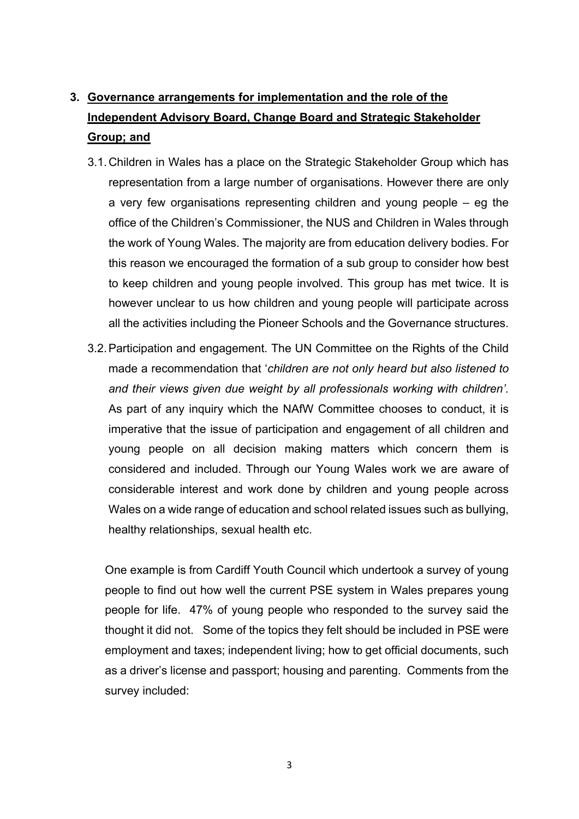# **3. Governance arrangements for implementation and the role of the Independent Advisory Board, Change Board and Strategic Stakeholder Group; and**

- 3.1.Children in Wales has a place on the Strategic Stakeholder Group which has representation from a large number of organisations. However there are only a very few organisations representing children and young people – eg the office of the Children's Commissioner, the NUS and Children in Wales through the work of Young Wales. The majority are from education delivery bodies. For this reason we encouraged the formation of a sub group to consider how best to keep children and young people involved. This group has met twice. It is however unclear to us how children and young people will participate across all the activities including the Pioneer Schools and the Governance structures.
- 3.2.Participation and engagement. The UN Committee on the Rights of the Child made a recommendation that '*children are not only heard but also listened to and their views given due weight by all professionals working with children'.* As part of any inquiry which the NAfW Committee chooses to conduct, it is imperative that the issue of participation and engagement of all children and young people on all decision making matters which concern them is considered and included. Through our Young Wales work we are aware of considerable interest and work done by children and young people across Wales on a wide range of education and school related issues such as bullying, healthy relationships, sexual health etc.

One example is from Cardiff Youth Council which undertook a survey of young people to find out how well the current PSE system in Wales prepares young people for life. 47% of young people who responded to the survey said the thought it did not. Some of the topics they felt should be included in PSE were employment and taxes; independent living; how to get official documents, such as a driver's license and passport; housing and parenting. Comments from the survey included: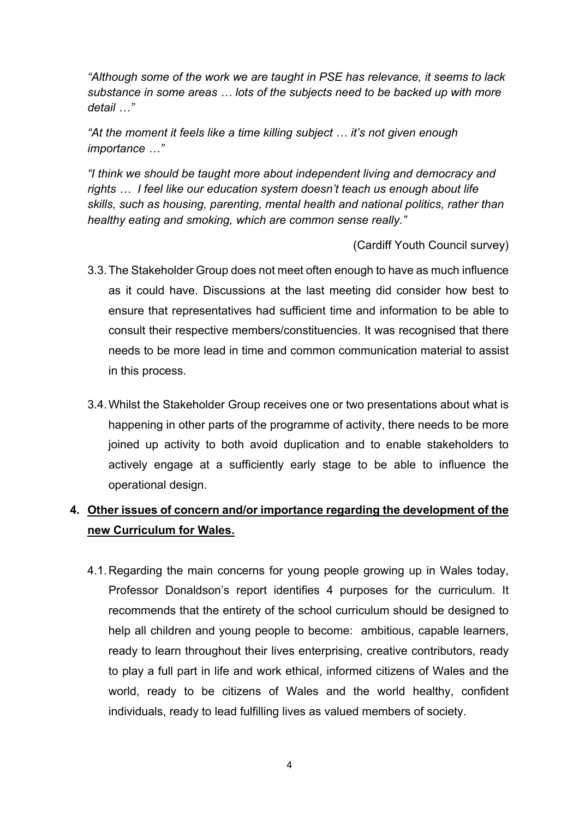*"Although some of the work we are taught in PSE has relevance, it seems to lack substance in some areas … lots of the subjects need to be backed up with more detail …"*

*"At the moment it feels like a time killing subject … it's not given enough importance …"*

*"I think we should be taught more about independent living and democracy and rights … I feel like our education system doesn't teach us enough about life skills, such as housing, parenting, mental health and national politics, rather than healthy eating and smoking, which are common sense really."*

(Cardiff Youth Council survey)

- 3.3.The Stakeholder Group does not meet often enough to have as much influence as it could have. Discussions at the last meeting did consider how best to ensure that representatives had sufficient time and information to be able to consult their respective members/constituencies. It was recognised that there needs to be more lead in time and common communication material to assist in this process.
- 3.4.Whilst the Stakeholder Group receives one or two presentations about what is happening in other parts of the programme of activity, there needs to be more joined up activity to both avoid duplication and to enable stakeholders to actively engage at a sufficiently early stage to be able to influence the operational design.

## **4. Other issues of concern and/or importance regarding the development of the new Curriculum for Wales.**

4.1.Regarding the main concerns for young people growing up in Wales today, Professor Donaldson's report identifies 4 purposes for the curriculum. It recommends that the entirety of the school curriculum should be designed to help all children and young people to become: ambitious, capable learners, ready to learn throughout their lives enterprising, creative contributors, ready to play a full part in life and work ethical, informed citizens of Wales and the world, ready to be citizens of Wales and the world healthy, confident individuals, ready to lead fulfilling lives as valued members of society.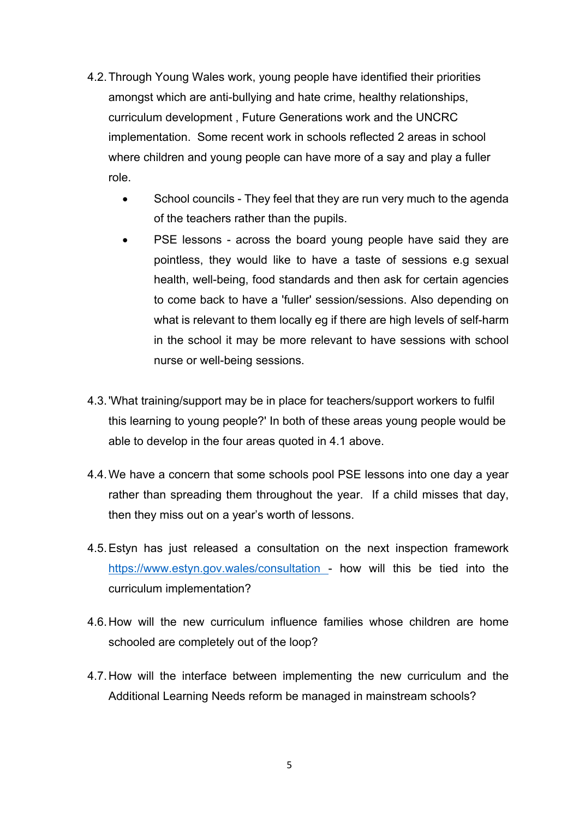- 4.2.Through Young Wales work, young people have identified their priorities amongst which are anti-bullying and hate crime, healthy relationships, curriculum development , Future Generations work and the UNCRC implementation. Some recent work in schools reflected 2 areas in school where children and young people can have more of a say and play a fuller role.
	- School councils They feel that they are run very much to the agenda of the teachers rather than the pupils.
	- PSE lessons across the board young people have said they are pointless, they would like to have a taste of sessions e.g sexual health, well-being, food standards and then ask for certain agencies to come back to have a 'fuller' session/sessions. Also depending on what is relevant to them locally eg if there are high levels of self-harm in the school it may be more relevant to have sessions with school nurse or well-being sessions.
- 4.3.'What training/support may be in place for teachers/support workers to fulfil this learning to young people?' In both of these areas young people would be able to develop in the four areas quoted in 4.1 above.
- 4.4.We have a concern that some schools pool PSE lessons into one day a year rather than spreading them throughout the year. If a child misses that day, then they miss out on a year's worth of lessons.
- 4.5.Estyn has just released a consultation on the next inspection framework <https://www.estyn.gov.wales/consultation> - how will this be tied into the curriculum implementation?
- 4.6.How will the new curriculum influence families whose children are home schooled are completely out of the loop?
- 4.7.How will the interface between implementing the new curriculum and the Additional Learning Needs reform be managed in mainstream schools?